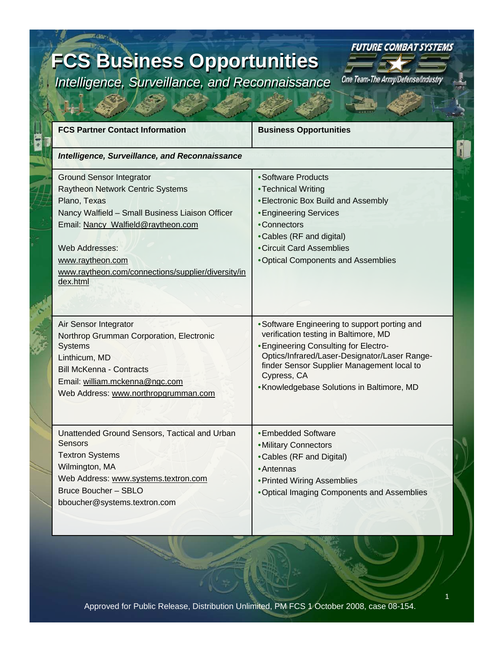### **FCS Business Opportunities FCS Business Opportunities**

*Intelligence, Surveillance, and Reconnaissance Intelligence, Surveillance, and Reconnaissance*



 $\frac{1}{1}$ 

| <b>FCS Partner Contact Information</b>                                                                                                                                                                                                                                               | <b>Business Opportunities</b>                                                                                                                                                                                                                                                               |
|--------------------------------------------------------------------------------------------------------------------------------------------------------------------------------------------------------------------------------------------------------------------------------------|---------------------------------------------------------------------------------------------------------------------------------------------------------------------------------------------------------------------------------------------------------------------------------------------|
| <b>Intelligence, Surveillance, and Reconnaissance</b>                                                                                                                                                                                                                                |                                                                                                                                                                                                                                                                                             |
| <b>Ground Sensor Integrator</b><br>Raytheon Network Centric Systems<br>Plano, Texas<br>Nancy Walfield - Small Business Liaison Officer<br>Email: Nancy_Walfield@raytheon.com<br>Web Addresses:<br>www.raytheon.com<br>www.raytheon.com/connections/supplier/diversity/in<br>dex.html | • Software Products<br>• Technical Writing<br>• Electronic Box Build and Assembly<br><b>• Engineering Services</b><br>•Connectors<br>•Cables (RF and digital)<br>• Circuit Card Assemblies<br>•Optical Components and Assemblies                                                            |
| Air Sensor Integrator<br>Northrop Grumman Corporation, Electronic<br><b>Systems</b><br>Linthicum, MD<br><b>Bill McKenna - Contracts</b><br>Email: william.mckenna@ngc.com<br>Web Address: www.northropgrumman.com                                                                    | • Software Engineering to support porting and<br>verification testing in Baltimore, MD<br>• Engineering Consulting for Electro-<br>Optics/Infrared/Laser-Designator/Laser Range-<br>finder Sensor Supplier Management local to<br>Cypress, CA<br>• Knowledgebase Solutions in Baltimore, MD |
| Unattended Ground Sensors, Tactical and Urban<br><b>Sensors</b><br><b>Textron Systems</b><br>Wilmington, MA<br>Web Address: www.systems.textron.com<br>Bruce Boucher - SBLO<br>bboucher@systems.textron.com                                                                          | • Embedded Software<br>• Military Connectors<br>•Cables (RF and Digital)<br>• Antennas<br>• Printed Wiring Assemblies<br>. Optical Imaging Components and Assemblies                                                                                                                        |

1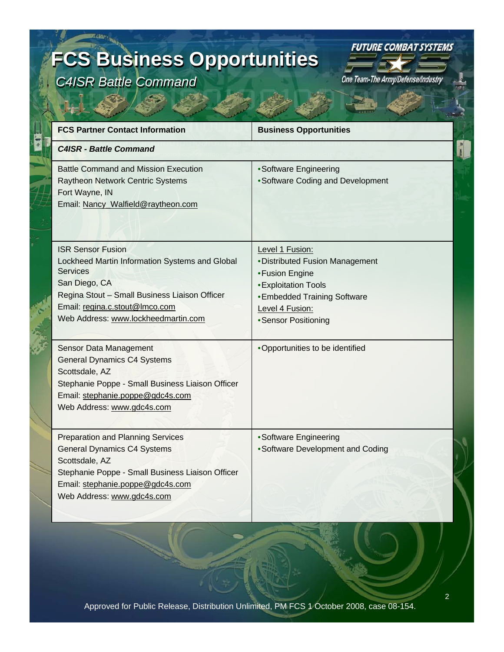# **FCS Business Opportunities FCS Business Opportunities**

*C4ISR Battle Command C4ISR Battle Command*

**FUTURE COMBAT SYSTEMS** 

| <b>FCS Partner Contact Information</b>                                                                                                                                                                                            | <b>Business Opportunities</b>                                                                                                                                                   |
|-----------------------------------------------------------------------------------------------------------------------------------------------------------------------------------------------------------------------------------|---------------------------------------------------------------------------------------------------------------------------------------------------------------------------------|
| <b>C4ISR - Battle Command</b>                                                                                                                                                                                                     |                                                                                                                                                                                 |
| <b>Battle Command and Mission Execution</b><br>Raytheon Network Centric Systems<br>Fort Wayne, IN<br>Email: Nancy_Walfield@raytheon.com                                                                                           | • Software Engineering<br>• Software Coding and Development                                                                                                                     |
| <b>ISR Sensor Fusion</b><br>Lockheed Martin Information Systems and Global<br>Services<br>San Diego, CA<br>Regina Stout - Small Business Liaison Officer<br>Email: regina.c.stout@Imco.com<br>Web Address: www.lockheedmartin.com | Level 1 Fusion:<br>• Distributed Fusion Management<br>• Fusion Engine<br>• Exploitation Tools<br><b>• Embedded Training Software</b><br>Level 4 Fusion:<br>• Sensor Positioning |
| Sensor Data Management<br><b>General Dynamics C4 Systems</b><br>Scottsdale, AZ<br>Stephanie Poppe - Small Business Liaison Officer<br>Email: stephanie.poppe@gdc4s.com<br>Web Address: www.gdc4s.com                              | •Opportunities to be identified                                                                                                                                                 |
| <b>Preparation and Planning Services</b><br><b>General Dynamics C4 Systems</b><br>Scottsdale, AZ<br>Stephanie Poppe - Small Business Liaison Officer<br>Email: stephanie.poppe@gdc4s.com<br>Web Address: www.gdc4s.com            | • Software Engineering<br>• Software Development and Coding                                                                                                                     |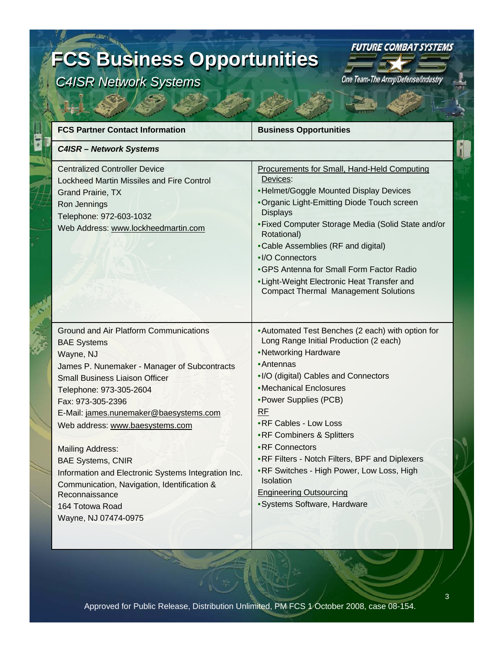## **FCS Business Opportunities FCS Business Opportunities**

*C4ISR Network Systems C4ISR Network Systems*



 $\frac{1}{3}$ 

| <b>FCS Partner Contact Information</b>                                                                                                                                                                                                                                                                                                                                                                                                                                                                                    | <b>Business Opportunities</b>                                                                                                                                                                                                                                                                                                                                                                                                                                                                      |
|---------------------------------------------------------------------------------------------------------------------------------------------------------------------------------------------------------------------------------------------------------------------------------------------------------------------------------------------------------------------------------------------------------------------------------------------------------------------------------------------------------------------------|----------------------------------------------------------------------------------------------------------------------------------------------------------------------------------------------------------------------------------------------------------------------------------------------------------------------------------------------------------------------------------------------------------------------------------------------------------------------------------------------------|
| <b>C4ISR - Network Systems</b>                                                                                                                                                                                                                                                                                                                                                                                                                                                                                            |                                                                                                                                                                                                                                                                                                                                                                                                                                                                                                    |
| <b>Centralized Controller Device</b><br>Lockheed Martin Missiles and Fire Control<br><b>Grand Prairie, TX</b><br>Ron Jennings<br>Telephone: 972-603-1032<br>Web Address: www.lockheedmartin.com                                                                                                                                                                                                                                                                                                                           | Procurements for Small, Hand-Held Computing<br>Devices:<br>•Helmet/Goggle Mounted Display Devices<br>• Organic Light-Emitting Diode Touch screen<br><b>Displays</b><br>• Fixed Computer Storage Media (Solid State and/or<br>Rotational)<br>•Cable Assemblies (RF and digital)<br>•I/O Connectors<br>•GPS Antenna for Small Form Factor Radio<br>• Light-Weight Electronic Heat Transfer and<br><b>Compact Thermal Management Solutions</b>                                                        |
| Ground and Air Platform Communications<br><b>BAE Systems</b><br>Wayne, NJ<br>James P. Nunemaker - Manager of Subcontracts<br><b>Small Business Liaison Officer</b><br>Telephone: 973-305-2604<br>Fax: 973-305-2396<br>E-Mail: james.nunemaker@baesystems.com<br>Web address: www.baesystems.com<br><b>Mailing Address:</b><br><b>BAE Systems, CNIR</b><br>Information and Electronic Systems Integration Inc.<br>Communication, Navigation, Identification &<br>Reconnaissance<br>164 Totowa Road<br>Wayne, NJ 07474-0975 | • Automated Test Benches (2 each) with option for<br>Long Range Initial Production (2 each)<br>•Networking Hardware<br>• Antennas<br>•I/O (digital) Cables and Connectors<br>•Mechanical Enclosures<br>• Power Supplies (PCB)<br><b>RF</b><br>• RF Cables - Low Loss<br>•RF Combiners & Splitters<br>•RF Connectors<br>• RF Filters - Notch Filters, BPF and Diplexers<br>.RF Switches - High Power, Low Loss, High<br>Isolation<br><b>Engineering Outsourcing</b><br>· Systems Software, Hardware |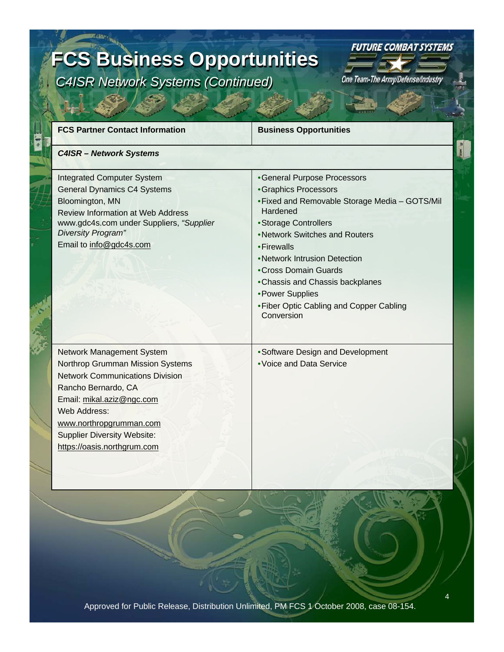### **FCS Business Opportunities FCS Business Opportunities** *C4ISR Network Systems (Continued) C4ISR Network Systems (Continued)*



 $\frac{1}{\hbar}$ 

One Team-The Army/Defense/Industry

| <b>FCS Partner Contact Information</b>                                                                                                                                                                                                                                             | <b>Business Opportunities</b>                                                                                                                                                                                                                                                                                                                                          |
|------------------------------------------------------------------------------------------------------------------------------------------------------------------------------------------------------------------------------------------------------------------------------------|------------------------------------------------------------------------------------------------------------------------------------------------------------------------------------------------------------------------------------------------------------------------------------------------------------------------------------------------------------------------|
| <b>C4ISR - Network Systems</b>                                                                                                                                                                                                                                                     |                                                                                                                                                                                                                                                                                                                                                                        |
| <b>Integrated Computer System</b><br><b>General Dynamics C4 Systems</b><br>Bloomington, MN<br><b>Review Information at Web Address</b><br>www.gdc4s.com under Suppliers, "Supplier<br>Diversity Program"<br>Email to info@gdc4s.com                                                | •General Purpose Processors<br>• Graphics Processors<br>• Fixed and Removable Storage Media - GOTS/Mil<br>Hardened<br>• Storage Controllers<br>•Network Switches and Routers<br>• Firewalls<br>• Network Intrusion Detection<br>• Cross Domain Guards<br>•Chassis and Chassis backplanes<br>• Power Supplies<br>• Fiber Optic Cabling and Copper Cabling<br>Conversion |
| Network Management System<br><b>Northrop Grumman Mission Systems</b><br><b>Network Communications Division</b><br>Rancho Bernardo, CA<br>Email: mikal.aziz@ngc.com<br>Web Address:<br>www.northropgrumman.com<br><b>Supplier Diversity Website:</b><br>https://oasis.northgrum.com | • Software Design and Development<br>• Voice and Data Service                                                                                                                                                                                                                                                                                                          |

4 Approved for Public Release, Distribution Unlimited, PM FCS 1 October 2008, case 08-154.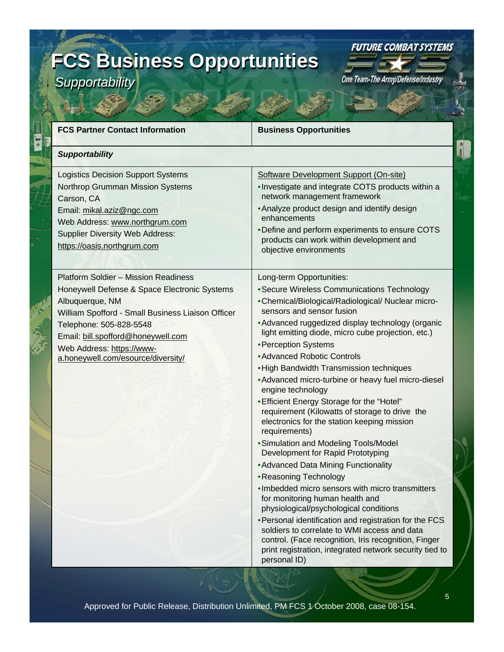# **FCS Business Opportunities FCS Business Opportunities**

*Supportability Supportability*

One Team-The Army/Defense/Industry

**FUTURE COMBAT SYSTEMS** 

 $\frac{1}{l}$ 

| <b>FCS Partner Contact Information</b>                                                                                                                                                                                                                                                                  | <b>Business Opportunities</b>                                                                                                                                                                                                                                                                                                                                                                                                                                                                                                                                                                                                                                                                                                                                                                                                                                                                                                                                                                                                                                                                                                                    |
|---------------------------------------------------------------------------------------------------------------------------------------------------------------------------------------------------------------------------------------------------------------------------------------------------------|--------------------------------------------------------------------------------------------------------------------------------------------------------------------------------------------------------------------------------------------------------------------------------------------------------------------------------------------------------------------------------------------------------------------------------------------------------------------------------------------------------------------------------------------------------------------------------------------------------------------------------------------------------------------------------------------------------------------------------------------------------------------------------------------------------------------------------------------------------------------------------------------------------------------------------------------------------------------------------------------------------------------------------------------------------------------------------------------------------------------------------------------------|
| <b>Supportability</b>                                                                                                                                                                                                                                                                                   |                                                                                                                                                                                                                                                                                                                                                                                                                                                                                                                                                                                                                                                                                                                                                                                                                                                                                                                                                                                                                                                                                                                                                  |
| <b>Logistics Decision Support Systems</b><br>Northrop Grumman Mission Systems<br>Carson, CA<br>Email: mikal.aziz@ngc.com<br>Web Address: www.northgrum.com<br><b>Supplier Diversity Web Address:</b><br>https://oasis.northgrum.com                                                                     | Software Development Support (On-site)<br>. Investigate and integrate COTS products within a<br>network management framework<br>• Analyze product design and identify design<br>enhancements<br>• Define and perform experiments to ensure COTS<br>products can work within development and<br>objective environments                                                                                                                                                                                                                                                                                                                                                                                                                                                                                                                                                                                                                                                                                                                                                                                                                            |
| <b>Platform Soldier - Mission Readiness</b><br>Honeywell Defense & Space Electronic Systems<br>Albuquerque, NM<br>William Spofford - Small Business Liaison Officer<br>Telephone: 505-828-5548<br>Email: bill.spofford@honeywell.com<br>Web Address: https://www-<br>a.honeywell.com/esource/diversity/ | Long-term Opportunities:<br>• Secure Wireless Communications Technology<br>•Chemical/Biological/Radiological/ Nuclear micro-<br>sensors and sensor fusion<br>• Advanced ruggedized display technology (organic<br>light emitting diode, micro cube projection, etc.)<br>• Perception Systems<br>• Advanced Robotic Controls<br>• High Bandwidth Transmission techniques<br>• Advanced micro-turbine or heavy fuel micro-diesel<br>engine technology<br>• Efficient Energy Storage for the "Hotel"<br>requirement (Kilowatts of storage to drive the<br>electronics for the station keeping mission<br>requirements)<br>• Simulation and Modeling Tools/Model<br>Development for Rapid Prototyping<br>• Advanced Data Mining Functionality<br>•Reasoning Technology<br>. Imbedded micro sensors with micro transmitters<br>for monitoring human health and<br>physiological/psychological conditions<br>• Personal identification and registration for the FCS<br>soldiers to correlate to WMI access and data<br>control. (Face recognition, Iris recognition, Finger<br>print registration, integrated network security tied to<br>personal ID) |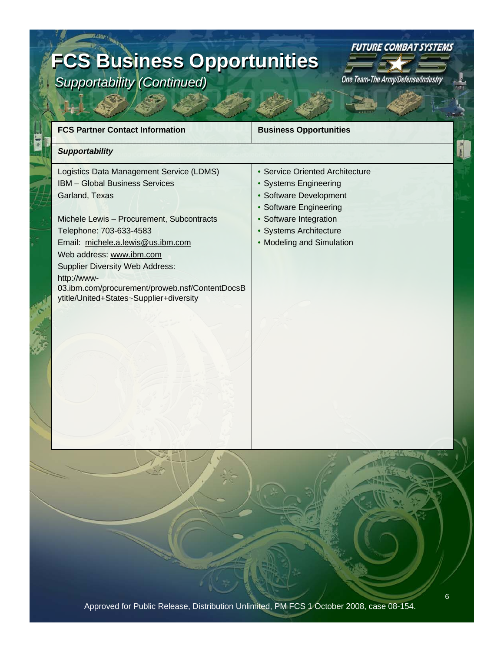### **FCS Business Opportunities FCS Business Opportunities**  *Supportability (Continued) Supportability (Continued)*



| <b>FCS Partner Contact Information</b>                                                                                                                                                                                                                                                                                                                                                             | <b>Business Opportunities</b>                                                                                                                                                                 |
|----------------------------------------------------------------------------------------------------------------------------------------------------------------------------------------------------------------------------------------------------------------------------------------------------------------------------------------------------------------------------------------------------|-----------------------------------------------------------------------------------------------------------------------------------------------------------------------------------------------|
| <b>Supportability</b>                                                                                                                                                                                                                                                                                                                                                                              |                                                                                                                                                                                               |
| Logistics Data Management Service (LDMS)<br><b>IBM - Global Business Services</b><br>Garland, Texas<br>Michele Lewis - Procurement, Subcontracts<br>Telephone: 703-633-4583<br>Email: michele.a.lewis@us.ibm.com<br>Web address: www.ibm.com<br><b>Supplier Diversity Web Address:</b><br>http://www-<br>03.ibm.com/procurement/proweb.nsf/ContentDocsB<br>ytitle/United+States~Supplier+diversity | • Service Oriented Architecture<br>• Systems Engineering<br>• Software Development<br>• Software Engineering<br>• Software Integration<br>• Systems Architecture<br>• Modeling and Simulation |
|                                                                                                                                                                                                                                                                                                                                                                                                    |                                                                                                                                                                                               |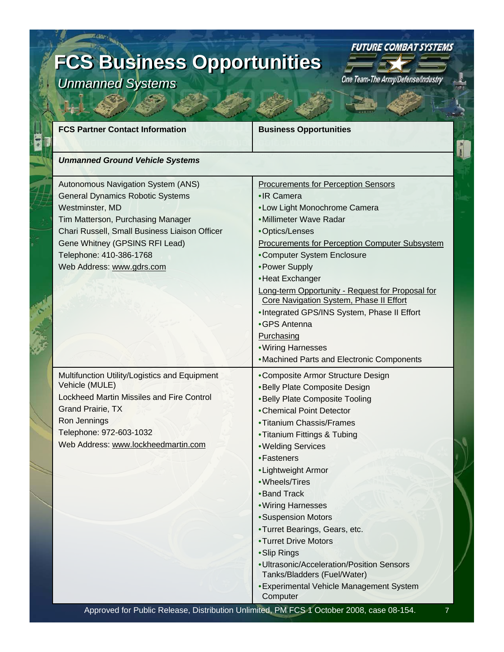## **FCS Business Opportunities FCS Business Opportunities**

*Unmanned Systems Unmanned Systems*

One Team-The Army/Defense/Industry

**FUTURE COMBAT SYSTEMS** 

| <b>FCS Partner Contact Information</b>                                                                                                                                                                                                                                           | <b>Business Opportunities</b>                                                                                                                                                                                                                                                                                                                                                                                                                                                                                                                        |
|----------------------------------------------------------------------------------------------------------------------------------------------------------------------------------------------------------------------------------------------------------------------------------|------------------------------------------------------------------------------------------------------------------------------------------------------------------------------------------------------------------------------------------------------------------------------------------------------------------------------------------------------------------------------------------------------------------------------------------------------------------------------------------------------------------------------------------------------|
| <b>Unmanned Ground Vehicle Systems</b>                                                                                                                                                                                                                                           |                                                                                                                                                                                                                                                                                                                                                                                                                                                                                                                                                      |
| Autonomous Navigation System (ANS)<br><b>General Dynamics Robotic Systems</b><br>Westminster, MD<br>Tim Matterson, Purchasing Manager<br>Chari Russell, Small Business Liaison Officer<br>Gene Whitney (GPSINS RFI Lead)<br>Telephone: 410-386-1768<br>Web Address: www.gdrs.com | <b>Procurements for Perception Sensors</b><br>•IR Camera<br>•Low Light Monochrome Camera<br>• Millimeter Wave Radar<br>•Optics/Lenses<br><b>Procurements for Perception Computer Subsystem</b><br>•Computer System Enclosure<br>• Power Supply<br>•Heat Exchanger<br>Long-term Opportunity - Request for Proposal for<br>Core Navigation System, Phase II Effort<br>. Integrated GPS/INS System, Phase II Effort<br>•GPS Antenna<br>Purchasing<br>• Wiring Harnesses<br>• Machined Parts and Electronic Components                                   |
| Multifunction Utility/Logistics and Equipment<br>Vehicle (MULE)<br><b>Lockheed Martin Missiles and Fire Control</b><br>Grand Prairie, TX<br>Ron Jennings<br>Telephone: 972-603-1032<br>Web Address: www.lockheedmartin.com                                                       | •Composite Armor Structure Design<br>•Belly Plate Composite Design<br>•Belly Plate Composite Tooling<br>• Chemical Point Detector<br>• Titanium Chassis/Frames<br>• Titanium Fittings & Tubing<br>• Welding Services<br>• Fasteners<br>• Lightweight Armor<br>•Wheels/Tires<br>•Band Track<br>• Wiring Harnesses<br>• Suspension Motors<br>•Turret Bearings, Gears, etc.<br>•Turret Drive Motors<br>•Slip Rings<br>· Ultrasonic/Acceleration/Position Sensors<br>Tanks/Bladders (Fuel/Water)<br>• Experimental Vehicle Management System<br>Computer |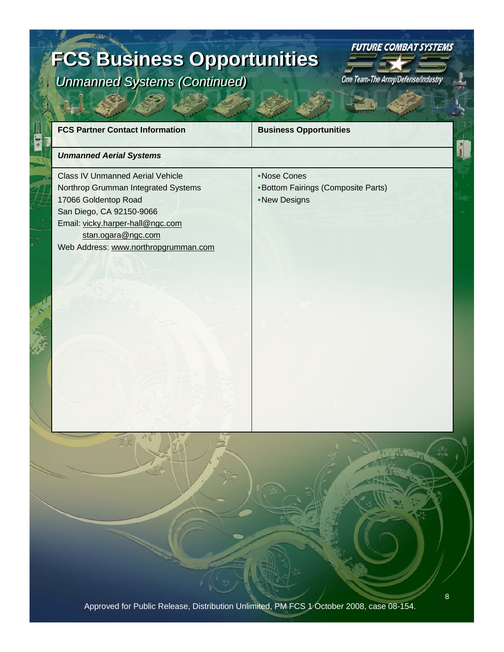### **FCS Business Opportunities FCS Business Opportunities** *Unmanned Systems (Continued) Unmanned Systems (Continued)*

**FUTURE COMBAT SYSTEMS** 

| <b>FCS Partner Contact Information</b>                                                                                                                                                                                               | <b>Business Opportunities</b>                                     |
|--------------------------------------------------------------------------------------------------------------------------------------------------------------------------------------------------------------------------------------|-------------------------------------------------------------------|
| <b>Unmanned Aerial Systems</b>                                                                                                                                                                                                       |                                                                   |
| <b>Class IV Unmanned Aerial Vehicle</b><br>Northrop Grumman Integrated Systems<br>17066 Goldentop Road<br>San Diego, CA 92150-9066<br>Email: vicky.harper-hall@ngc.com<br>stan.ogara@ngc.com<br>Web Address: www.northropgrumman.com | •Nose Cones<br>•Bottom Fairings (Composite Parts)<br>•New Designs |
|                                                                                                                                                                                                                                      |                                                                   |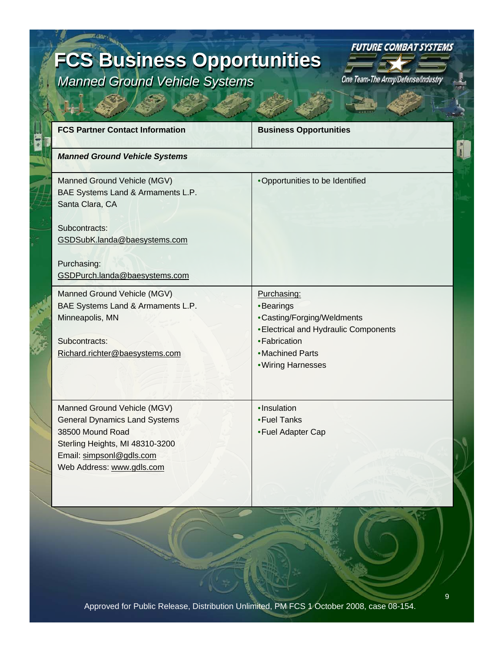### **FCS Business Opportunities FCS Business Opportunities**  *Manned Ground Vehicle Systems Manned Ground Vehicle Systems*

**FUTURE COMBAT SYSTEMS** 

| <b>FCS Partner Contact Information</b>                                                                                                                                              | <b>Business Opportunities</b>                                                                                                                              |
|-------------------------------------------------------------------------------------------------------------------------------------------------------------------------------------|------------------------------------------------------------------------------------------------------------------------------------------------------------|
| <b>Manned Ground Vehicle Systems</b>                                                                                                                                                |                                                                                                                                                            |
| Manned Ground Vehicle (MGV)<br>BAE Systems Land & Armaments L.P.<br>Santa Clara, CA                                                                                                 | •Opportunities to be Identified                                                                                                                            |
| Subcontracts:<br>GSDSubK.landa@baesystems.com                                                                                                                                       |                                                                                                                                                            |
| Purchasing:<br>GSDPurch.landa@baesystems.com                                                                                                                                        |                                                                                                                                                            |
| Manned Ground Vehicle (MGV)<br>BAE Systems Land & Armaments L.P.<br>Minneapolis, MN<br>Subcontracts:<br>Richard.richter@baesystems.com                                              | Purchasing:<br>•Bearings<br>•Casting/Forging/Weldments<br>• Electrical and Hydraulic Components<br>• Fabrication<br>• Machined Parts<br>• Wiring Harnesses |
| Manned Ground Vehicle (MGV)<br><b>General Dynamics Land Systems</b><br>38500 Mound Road<br>Sterling Heights, MI 48310-3200<br>Email: simpsonl@gdls.com<br>Web Address: www.gdls.com | ·Insulation<br>•Fuel Tanks<br>• Fuel Adapter Cap                                                                                                           |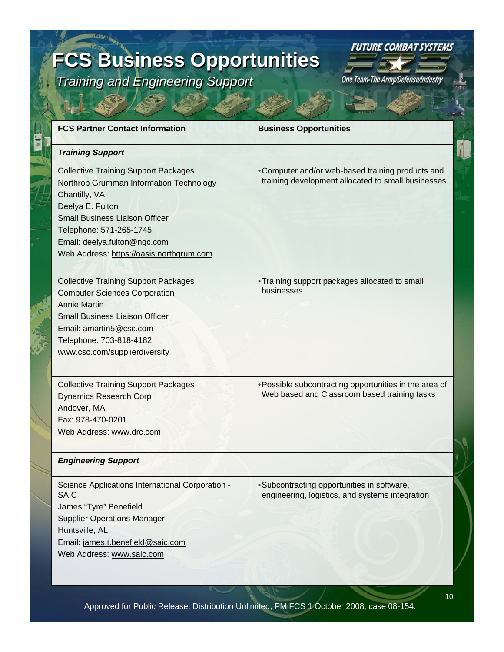### **FCS Business Opportunities FCS Business Opportunities**  *Training and Engineering Support Training and Engineering Support*

**FUTURE COMBAT SYSTEMS** 

| <b>FCS Partner Contact Information</b>                                                                                                                                                                                                                                      | <b>Business Opportunities</b>                                                                           |
|-----------------------------------------------------------------------------------------------------------------------------------------------------------------------------------------------------------------------------------------------------------------------------|---------------------------------------------------------------------------------------------------------|
| <b>Training Support</b>                                                                                                                                                                                                                                                     |                                                                                                         |
| <b>Collective Training Support Packages</b><br>Northrop Grumman Information Technology<br>Chantilly, VA<br>Deelya E. Fulton<br><b>Small Business Liaison Officer</b><br>Telephone: 571-265-1745<br>Email: deelya.fulton@ngc.com<br>Web Address: https://oasis.northgrum.com | • Computer and/or web-based training products and<br>training development allocated to small businesses |
| <b>Collective Training Support Packages</b><br><b>Computer Sciences Corporation</b><br><b>Annie Martin</b><br><b>Small Business Liaison Officer</b><br>Email: amartin5@csc.com<br>Telephone: 703-818-4182<br>www.csc.com/supplierdiversity                                  | • Training support packages allocated to small<br>businesses                                            |
| <b>Collective Training Support Packages</b><br><b>Dynamics Research Corp</b><br>Andover, MA<br>Fax: 978-470-0201<br>Web Address: www.drc.com                                                                                                                                | • Possible subcontracting opportunities in the area of<br>Web based and Classroom based training tasks  |
| <b>Engineering Support</b>                                                                                                                                                                                                                                                  |                                                                                                         |
| Science Applications International Corporation -<br><b>SAIC</b><br>James "Tyre" Benefield<br><b>Supplier Operations Manager</b><br>Huntsville, AL<br>Email: james.t.benefield@saic.com<br>Web Address: www.saic.com                                                         | • Subcontracting opportunities in software,<br>engineering, logistics, and systems integration          |